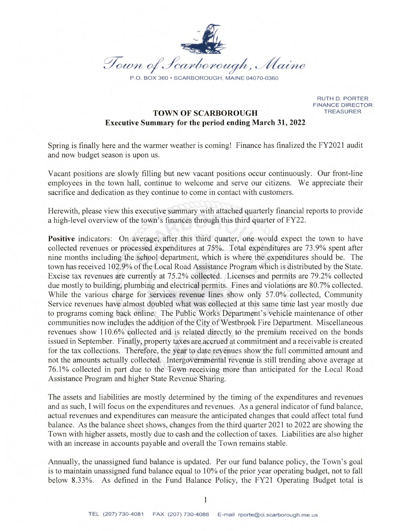

RUTH D. PORTER **FINANCE DIRECTOR TREASURER** 

# **TOWN OF SCARBOROUGH Executive Summary for the period ending March 31, 2022**

Spring is finally here and the warmer weather is coming! Finance has finalized the FY2021 audit and now budget season is upon us.

Vacant positions are slowly filling but new vacant positions occur continuously. Our front-line employees in the town hall, continue to welcome and serve our citizens. We appreciate their sacrifice and dedication as they continue to come in contact with customers.

Herewith, please view this executive summary with attached quarterly financial reports to provide a high-level overview of the town's finances through this third quarter of FY22.

**Positive** indicators: On average, after this third quarter, one would expect the town to have collected revenues or processed expenditures at 75%. Total expenditures are 73.9% spent after nine months including the school department, which is where the expenditures should be. The town has received 102.9% of the Local Road Assistance Program which is distributed by the State. Excise tax revenues are currently at 75.2% collected. Licenses and permits are 79.2% collected due mostly to building, plumbing and electrical permits. Fines and violations are 80.7% collected. While the various charge for services revenue lines show only 57.0% collected, Community Service revenues have almost doubled what was collected at this same time last year mostly due to programs coming back online. The Public Works Department's vehicle maintenance of other communities now includes the addition of the City of Westbrook Fire Department. Miscellaneous revenues show 110.6% collected and is related directly to the premium received on the bonds issued in September. Finally, property taxes are accrued at commitment and a receivable is created for the tax collections. Therefore, the year to date revenues show the full committed amount and not the amounts actually collected. Intergovernmental revenue is still trending above average at 76.1% collected in part due to the Town receiving more than anticipated for the Local Road Assistance Program and higher State Revenue Sharing.

The assets and liabilities are mostly determined by the timing of the expenditures and revenues and as such, I will focus on the expenditures and revenues. As a general indicator of fund balance, actual revenues and expenditures can measure the anticipated changes that could affect total fund balance. As the balance sheet shows, changes from the third quarter 2021 to 2022 are showing the Town with higher assets, mostly due to cash and the collection of taxes. Liabilities are also higher with an increase in accounts payable and overall the Town remains stable.

Annually, the unassigned fund balance is updated. Per our fund balance policy, the Town's goal is to maintain unassigned fund balance equal to 10% of the prior year operating budget, not to fall below 8.33%. As defined in the Fund Balance Policy, the FY21 Operating Budget total is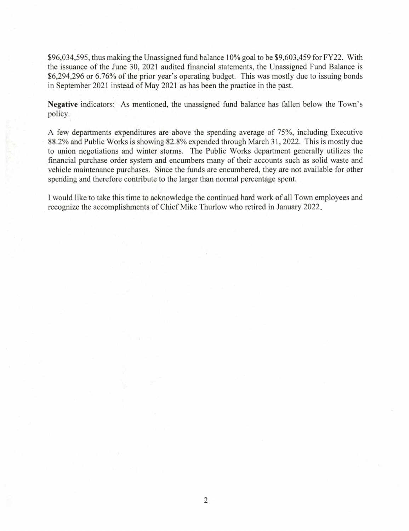\$96,034,595, thus making the Unassigned fund balance 10% goal to be \$9,603,459 for FY22. With the issuance of the June 30, 2021 audited financial statements, the Unassigned Fund Balance is \$6,294,296 or 6.76% of the prior year's operating budget. This was mostly due to issuing bonds in September 2021 instead of May 2021 as has been the practice in the past.

**Negative** indicators: As mentioned, the unassigned fund balance has fallen below the Town's policy.

A few departments expenditures are above the spending average of 75%, including Executive 88.2% and Public Works is showing 82.8% expended through March 31, 2022. This is mostly due to union negotiations and winter storms. The Public Works department generally utilizes the financial purchase order system and encumbers many of their accounts such as solid waste and vehicle maintenance purchases. Since the funds are encumbered, they are not available for other spending and therefore contribute to the larger than normal percentage spent.

I would like to take this time to acknowledge the continued hard work of all Town employees and recognize the accomplishments of Chief Mike Thurlow who retired in January 2022.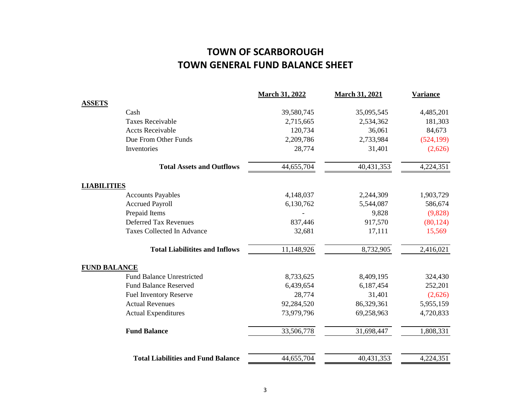# **TOWN GENERAL FUND BALANCE SHEET TOWN OF SCARBOROUGH**

|                     |                                           | <b>March 31, 2022</b> | <b>March 31, 2021</b> | <b>Variance</b> |
|---------------------|-------------------------------------------|-----------------------|-----------------------|-----------------|
| <b>ASSETS</b>       |                                           |                       |                       |                 |
|                     | Cash                                      | 39,580,745            | 35,095,545            | 4,485,201       |
|                     | <b>Taxes Receivable</b>                   | 2,715,665             | 2,534,362             | 181,303         |
|                     | <b>Accts Receivable</b>                   | 120,734               | 36,061                | 84,673          |
|                     | Due From Other Funds                      | 2,209,786             | 2,733,984             | (524, 199)      |
|                     | Inventories                               | 28,774                | 31,401                | (2,626)         |
|                     | <b>Total Assets and Outflows</b>          | 44,655,704            | 40,431,353            | 4,224,351       |
| <b>LIABILITIES</b>  |                                           |                       |                       |                 |
|                     | <b>Accounts Payables</b>                  | 4,148,037             | 2,244,309             | 1,903,729       |
|                     | <b>Accrued Payroll</b>                    | 6,130,762             | 5,544,087             | 586,674         |
|                     | Prepaid Items                             |                       | 9,828                 | (9,828)         |
|                     | <b>Deferred Tax Revenues</b>              | 837,446               | 917,570               | (80, 124)       |
|                     | Taxes Collected In Advance                | 32,681                | 17,111                | 15,569          |
|                     | <b>Total Liabilitites and Inflows</b>     | 11,148,926            | 8,732,905             | 2,416,021       |
| <b>FUND BALANCE</b> |                                           |                       |                       |                 |
|                     | <b>Fund Balance Unrestricted</b>          | 8,733,625             | 8,409,195             | 324,430         |
|                     | <b>Fund Balance Reserved</b>              | 6,439,654             | 6,187,454             | 252,201         |
|                     | <b>Fuel Inventory Reserve</b>             | 28,774                | 31,401                | (2,626)         |
|                     | <b>Actual Revenues</b>                    | 92,284,520            | 86,329,361            | 5,955,159       |
|                     | <b>Actual Expenditures</b>                | 73,979,796            | 69,258,963            | 4,720,833       |
|                     | <b>Fund Balance</b>                       | 33,506,778            | 31,698,447            | 1,808,331       |
|                     | <b>Total Liabilities and Fund Balance</b> | 44,655,704            | 40,431,353            | 4,224,351       |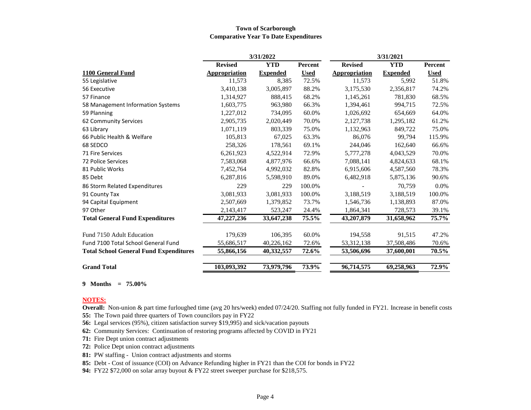#### **Town of Scarborough Comparative Year To Date Expenditures**

|                                               | 3/31/2022      |                 |                | 3/31/2021      |                 |             |
|-----------------------------------------------|----------------|-----------------|----------------|----------------|-----------------|-------------|
|                                               | <b>Revised</b> | <b>YTD</b>      | <b>Percent</b> | <b>Revised</b> | <b>YTD</b>      | Percent     |
| 1100 General Fund                             | Appropriation  | <b>Expended</b> | <b>Used</b>    | Appropriation  | <b>Expended</b> | <b>Used</b> |
| 55 Legislative                                | 11,573         | 8,385           | 72.5%          | 11,573         | 5,992           | 51.8%       |
| 56 Executive                                  | 3,410,138      | 3,005,897       | 88.2%          | 3,175,530      | 2,356,817       | 74.2%       |
| 57 Finance                                    | 1,314,927      | 888,415         | 68.2%          | 1,145,261      | 781,830         | 68.5%       |
| 58 Management Information Systems             | 1,603,775      | 963,980         | 66.3%          | 1,394,461      | 994,715         | 72.5%       |
| 59 Planning                                   | 1,227,012      | 734,095         | 60.0%          | 1,026,692      | 654.669         | 64.0%       |
| 62 Community Services                         | 2,905,735      | 2,020,449       | 70.0%          | 2,127,738      | 1,295,182       | 61.2%       |
| 63 Library                                    | 1,071,119      | 803,339         | 75.0%          | 1,132,963      | 849,722         | 75.0%       |
| 66 Public Health & Welfare                    | 105,813        | 67,025          | 63.3%          | 86,076         | 99,794          | 115.9%      |
| 68 SEDCO                                      | 258,326        | 178,561         | 69.1%          | 244,046        | 162,640         | 66.6%       |
| 71 Fire Services                              | 6,261,923      | 4,522,914       | 72.9%          | 5,777,278      | 4,043,529       | 70.0%       |
| <b>72 Police Services</b>                     | 7,583,068      | 4,877,976       | 66.6%          | 7,088,141      | 4,824,633       | 68.1%       |
| 81 Public Works                               | 7,452,764      | 4,992,032       | 82.8%          | 6,915,606      | 4,587,560       | 78.3%       |
| 85 Debt                                       | 6,287,816      | 5,598,910       | 89.0%          | 6,482,918      | 5,875,136       | 90.6%       |
| 86 Storm Related Expenditures                 | 229            | 229             | 100.0%         |                | 70,759          | 0.0%        |
| 91 County Tax                                 | 3,081,933      | 3,081,933       | 100.0%         | 3,188,519      | 3,188,519       | 100.0%      |
| 94 Capital Equipment                          | 2,507,669      | 1,379,852       | 73.7%          | 1,546,736      | 1,138,893       | 87.0%       |
| 97 Other                                      | 2,143,417      | 523,247         | 24.4%          | 1,864,341      | 728,573         | 39.1%       |
| <b>Total General Fund Expenditures</b>        | 47,227,236     | 33,647,238      | 75.5%          | 43,207,879     | 31,658,962      | 75.7%       |
| Fund 7150 Adult Education                     | 179,639        | 106,395         | 60.0%          | 194,558        | 91,515          | 47.2%       |
| Fund 7100 Total School General Fund           | 55,686,517     | 40,226,162      | 72.6%          | 53, 312, 138   | 37,508,486      | 70.6%       |
| <b>Total School General Fund Expenditures</b> | 55,866,156     | 40,332,557      | 72.6%          | 53,506,696     | 37,600,001      | 70.5%       |
| <b>Grand Total</b>                            | 103,093,392    | 73,979,796      | 73.9%          | 96,714,575     | 69,258,963      | 72.9%       |

**9 Months = 75.00%**

#### **NOTES:**

**Overall:** Non-union & part time furloughed time (avg 20 hrs/week) ended 07/24/20. Staffing not fully funded in FY21. Increase in benefit costs **55:** The Town paid three quarters of Town councilors pay in FY22

**56:** Legal services (95%), citizen satisfaction survey \$19,995) and sick/vacation payouts

**62:** Community Services: Continuation of restoring programs affected by COVID in FY21

**71:** Fire Dept union contract adjustments

**72:** Police Dept union contract adjustments

**81:** PW staffing - Union contract adjustments and storms

**85:** Debt - Cost of issuance (COI) on Advance Refunding higher in FY21 than the COI for bonds in FY22

**94:** FY22 \$72,000 on solar array buyout & FY22 street sweeper purchase for \$218,575.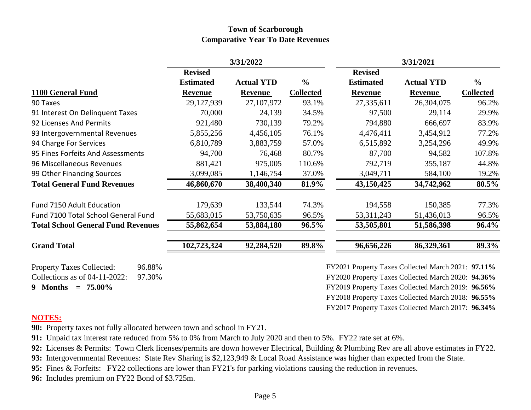### **Town of Scarborough Comparative Year To Date Revenues**

|                                            |                  | 3/31/2022         |                  |                                                    | 3/31/2021         |                  |
|--------------------------------------------|------------------|-------------------|------------------|----------------------------------------------------|-------------------|------------------|
|                                            | <b>Revised</b>   |                   |                  | <b>Revised</b>                                     |                   |                  |
|                                            | <b>Estimated</b> | <b>Actual YTD</b> | $\frac{0}{0}$    | <b>Estimated</b>                                   | <b>Actual YTD</b> | $\frac{6}{6}$    |
| 1100 General Fund                          | <b>Revenue</b>   | <b>Revenue</b>    | <b>Collected</b> | <b>Revenue</b>                                     | <b>Revenue</b>    | <b>Collected</b> |
| 90 Taxes                                   | 29,127,939       | 27,107,972        | 93.1%            | 27,335,611                                         | 26,304,075        | 96.2%            |
| 91 Interest On Delinquent Taxes            | 70,000           | 24,139            | 34.5%            | 97,500                                             | 29,114            | 29.9%            |
| 92 Licenses And Permits                    | 921,480          | 730,139           | 79.2%            | 794,880                                            | 666,697           | 83.9%            |
| 93 Intergovernmental Revenues              | 5,855,256        | 4,456,105         | 76.1%            | 4,476,411                                          | 3,454,912         | 77.2%            |
| 94 Charge For Services                     | 6,810,789        | 3,883,759         | 57.0%            | 6,515,892                                          | 3,254,296         | 49.9%            |
| 95 Fines Forfeits And Assessments          | 94,700           | 76,468            | 80.7%            | 87,700                                             | 94,582            | 107.8%           |
| 96 Miscellaneous Revenues                  | 881,421          | 975,005           | 110.6%           | 792,719                                            | 355,187           | 44.8%            |
| 99 Other Financing Sources                 | 3,099,085        | 1,146,754         | 37.0%            | 3,049,711                                          | 584,100           | 19.2%            |
| <b>Total General Fund Revenues</b>         | 46,860,670       | 38,400,340        | 81.9%            | 43,150,425                                         | 34,742,962        | 80.5%            |
| Fund 7150 Adult Education                  | 179,639          | 133,544           | 74.3%            | 194,558                                            | 150,385           | 77.3%            |
| Fund 7100 Total School General Fund        | 55,683,015       | 53,750,635        | 96.5%            | 53, 311, 243                                       | 51,436,013        | 96.5%            |
| <b>Total School General Fund Revenues</b>  | 55,862,654       | 53,884,180        | 96.5%            | 53,505,801                                         | 51,586,398        | $96.4\%$         |
| <b>Grand Total</b>                         | 102,723,324      | 92,284,520        | 89.8%            | 96,656,226                                         | 86,329,361        | 89.3%            |
| <b>Property Taxes Collected:</b><br>96.88% |                  |                   |                  | FY2021 Property Taxes Collected March 2021: 97.11% |                   |                  |
| Collections as of 04-11-2022:<br>97.30%    |                  |                   |                  | FY2020 Property Taxes Collected March 2020: 94.36% |                   |                  |
| 9 Months $= 75.00\%$                       |                  |                   |                  | FY2019 Property Taxes Collected March 2019: 96.56% |                   |                  |
|                                            |                  |                   |                  | FY2018 Property Taxes Collected March 2018: 96.55% |                   |                  |

## **NOTES:**

**90:** Property taxes not fully allocated between town and school in FY21.

**91:** Unpaid tax interest rate reduced from 5% to 0% from March to July 2020 and then to 5%. FY22 rate set at 6%.

**92:** Licenses & Permits: Town Clerk licenses/permits are down however Electrical, Building & Plumbing Rev are all above estimates in FY22.

FY2017 Property Taxes Collected March 2017: **96.34%**

**93:** Intergovernmental Revenues: State Rev Sharing is \$2,123,949 & Local Road Assistance was higher than expected from the State.

**95:** Fines & Forfeits: FY22 collections are lower than FY21's for parking violations causing the reduction in revenues.

**96:** Includes premium on FY22 Bond of \$3.725m.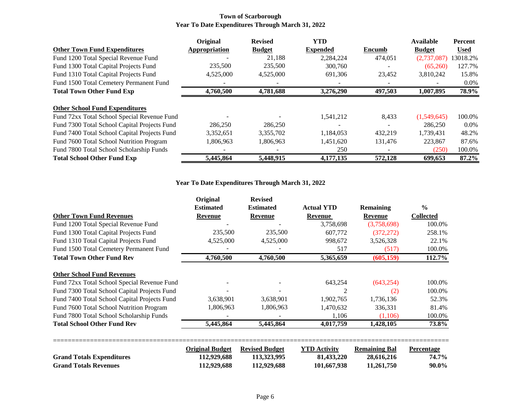#### **Town of Scarborough Year To Date Expenditures Through March 31, 2022**

|                                              | Original      | <b>Revised</b> | <b>YTD</b>      |         | <b>Available</b> | <b>Percent</b> |
|----------------------------------------------|---------------|----------------|-----------------|---------|------------------|----------------|
| <b>Other Town Fund Expenditures</b>          | Appropriation | <b>Budget</b>  | <b>Expended</b> | Encumb  | <b>Budget</b>    | <b>Used</b>    |
| Fund 1200 Total Special Revenue Fund         |               | 21.188         | 2.284.224       | 474,051 | (2,737,087)      | 13018.2%       |
| Fund 1300 Total Capital Projects Fund        | 235,500       | 235,500        | 300,760         |         | (65,260)         | 127.7%         |
| Fund 1310 Total Capital Projects Fund        | 4,525,000     | 4,525,000      | 691,306         | 23.452  | 3,810,242        | 15.8%          |
| Fund 1500 Total Cemetery Permanent Fund      |               |                |                 |         |                  | $0.0\%$        |
| <b>Total Town Other Fund Exp</b>             | 4,760,500     | 4,781,688      | 3.276.290       | 497,503 | 1,007,895        | 78.9%          |
|                                              |               |                |                 |         |                  |                |
| <b>Other School Fund Expenditures</b>        |               |                |                 |         |                  |                |
| Fund 72xx Total School Special Revenue Fund  |               |                | 1,541,212       | 8,433   | (1,549,645)      | 100.0%         |
| Fund 7300 Total School Capital Projects Fund | 286,250       | 286,250        |                 |         | 286,250          | $0.0\%$        |
| Fund 7400 Total School Capital Projects Fund | 3,352,651     | 3,355,702      | 1,184,053       | 432.219 | 1,739,431        | 48.2%          |
| Fund 7600 Total School Nutrition Program     | 1,806,963     | 1,806,963      | 1,451,620       | 131,476 | 223,867          | 87.6%          |
| Fund 7800 Total School Scholarship Funds     |               |                | 250             |         | (250)            | 100.0%         |
| <b>Total School Other Fund Exp</b>           | 5,445,864     | 5,448,915      | 4,177,135       | 572,128 | 699,653          | 87.2%          |

#### **Year To Date Expenditures Through March 31, 2022**

| <b>Estimated</b> | <b>Estimated</b>                      | <b>Actual YTD</b>                    | <b>Remaining</b>                   | $\frac{0}{0}$                          |
|------------------|---------------------------------------|--------------------------------------|------------------------------------|----------------------------------------|
| Revenue          | Revenue                               | Revenue                              | <b>Revenue</b>                     | <b>Collected</b>                       |
|                  |                                       | 3,758,698                            | (3,758,698)                        | 100.0%                                 |
| 235,500          | 235,500                               | 607,772                              | (372, 272)                         | 258.1%                                 |
| 4,525,000        | 4,525,000                             | 998,672                              | 3,526,328                          | 22.1%                                  |
|                  |                                       | 517                                  | (517)                              | 100.0%                                 |
| 4,760,500        | 4,760,500                             | 5,365,659                            | (605, 159)                         | 112.7%                                 |
|                  |                                       |                                      |                                    |                                        |
|                  |                                       | 643,254                              | (643, 254)                         | 100.0%                                 |
|                  |                                       | $\mathfrak{D}$                       | (2)                                | 100.0%                                 |
| 3,638,901        | 3,638,901                             | 1,902,765                            | 1,736,136                          | 52.3%                                  |
| 1,806,963        | 1,806,963                             | 1,470,632                            | 336,331                            | 81.4%                                  |
|                  |                                       | 1,106                                | (1,106)                            | 100.0%                                 |
| 5,445,864        | 5,445,864                             | 4,017,759                            | 1,428,105                          | 73.8%                                  |
|                  |                                       |                                      |                                    |                                        |
| 112,929,688      | 113,323,995                           | 81,433,220                           | 28,616,216                         | <b>Percentage</b><br>74.7%<br>$90.0\%$ |
|                  | <b>Original Budget</b><br>112,929,688 | <b>Revised Budget</b><br>112,929,688 | <b>YTD</b> Activity<br>101,667,938 | <b>Remaining Bal</b><br>11,261,750     |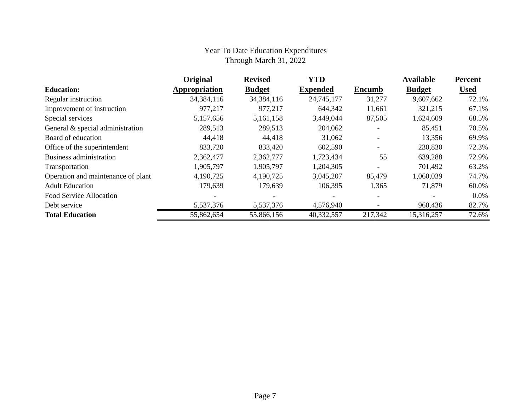## Year To Date Education Expenditures Through March 31, 2022

|                                    | Original      | <b>Revised</b> | <b>YTD</b>      |                          | <b>Available</b> | <b>Percent</b> |
|------------------------------------|---------------|----------------|-----------------|--------------------------|------------------|----------------|
| <b>Education:</b>                  | Appropriation | <b>Budget</b>  | <b>Expended</b> | <b>Encumb</b>            | <b>Budget</b>    | <b>Used</b>    |
| Regular instruction                | 34, 384, 116  | 34, 384, 116   | 24,745,177      | 31,277                   | 9,607,662        | 72.1%          |
| Improvement of instruction         | 977,217       | 977,217        | 644,342         | 11,661                   | 321,215          | 67.1%          |
| Special services                   | 5,157,656     | 5,161,158      | 3,449,044       | 87,505                   | 1,624,609        | 68.5%          |
| General & special administration   | 289,513       | 289,513        | 204,062         | $\overline{\phantom{a}}$ | 85,451           | 70.5%          |
| Board of education                 | 44,418        | 44,418         | 31,062          |                          | 13,356           | 69.9%          |
| Office of the superintendent       | 833,720       | 833,420        | 602,590         |                          | 230,830          | 72.3%          |
| Business administration            | 2,362,477     | 2,362,777      | 1,723,434       | 55                       | 639,288          | 72.9%          |
| Transportation                     | 1,905,797     | 1,905,797      | 1,204,305       |                          | 701,492          | 63.2%          |
| Operation and maintenance of plant | 4,190,725     | 4,190,725      | 3,045,207       | 85,479                   | 1,060,039        | 74.7%          |
| <b>Adult Education</b>             | 179,639       | 179,639        | 106,395         | 1,365                    | 71,879           | 60.0%          |
| Food Service Allocation            |               |                |                 |                          |                  | $0.0\%$        |
| Debt service                       | 5,537,376     | 5,537,376      | 4,576,940       |                          | 960,436          | 82.7%          |
| <b>Total Education</b>             | 55,862,654    | 55,866,156     | 40,332,557      | 217,342                  | 15,316,257       | 72.6%          |